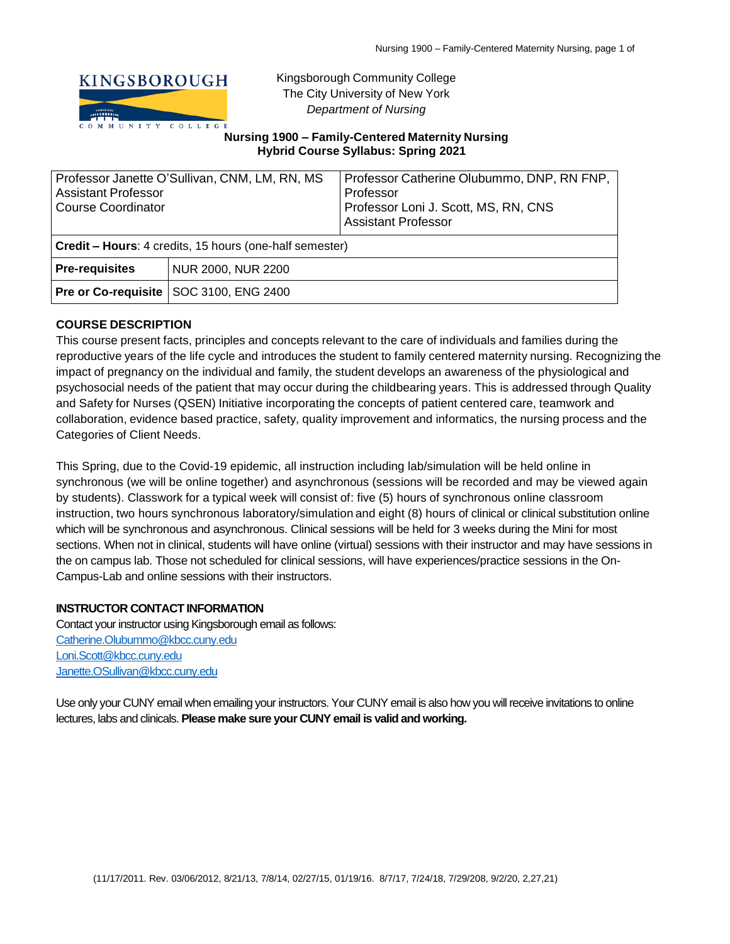

Kingsborough Community College The City University of New York *Department of Nursing*

### **Nursing 1900 – Family-Centered Maternity Nursing Hybrid Course Syllabus: Spring 2021**

| Professor Janette O'Sullivan, CNM, LM, RN, MS<br><b>Assistant Professor</b><br>Course Coordinator |                    | Professor Catherine Olubummo, DNP, RN FNP,<br>Professor<br>Professor Loni J. Scott, MS, RN, CNS<br><b>Assistant Professor</b> |  |  |
|---------------------------------------------------------------------------------------------------|--------------------|-------------------------------------------------------------------------------------------------------------------------------|--|--|
| Credit - Hours: 4 credits, 15 hours (one-half semester)                                           |                    |                                                                                                                               |  |  |
| <b>Pre-requisites</b>                                                                             | NUR 2000, NUR 2200 |                                                                                                                               |  |  |
| <b>Pre or Co-requisite</b>                                                                        | SOC 3100, ENG 2400 |                                                                                                                               |  |  |

## **COURSE DESCRIPTION**

This course present facts, principles and concepts relevant to the care of individuals and families during the reproductive years of the life cycle and introduces the student to family centered maternity nursing. Recognizing the impact of pregnancy on the individual and family, the student develops an awareness of the physiological and psychosocial needs of the patient that may occur during the childbearing years. This is addressed through Quality and Safety for Nurses (QSEN) Initiative incorporating the concepts of patient centered care, teamwork and collaboration, evidence based practice, safety, quality improvement and informatics, the nursing process and the Categories of Client Needs.

This Spring, due to the Covid-19 epidemic, all instruction including lab/simulation will be held online in synchronous (we will be online together) and asynchronous (sessions will be recorded and may be viewed again by students). Classwork for a typical week will consist of: five (5) hours of synchronous online classroom instruction, two hours synchronous laboratory/simulation and eight (8) hours of clinical or clinical substitution online which will be synchronous and asynchronous. Clinical sessions will be held for 3 weeks during the Mini for most sections. When not in clinical, students will have online (virtual) sessions with their instructor and may have sessions in the on campus lab. Those not scheduled for clinical sessions, will have experiences/practice sessions in the On-Campus-Lab and online sessions with their instructors.

### **INSTRUCTOR CONTACT INFORMATION**

Contact your instructor using Kingsborough email as follows: [Catherine.Olubummo@kbcc.cuny.edu](mailto:Catherine.Olubummo@kbcc.cuny.edu) [Loni.Scott@kbcc.cuny.edu](mailto:Loni.Scott@kbcc.cuny.edu) [Janette.OSullivan@kbcc.cuny.edu](mailto:Janette.OSullivan@kbcc.cuny.edu)

Use only your CUNY email when emailing your instructors. Your CUNY email is also how you will receive invitations to online lectures, labs and clinicals. **Please make sure your CUNY email is valid and working.**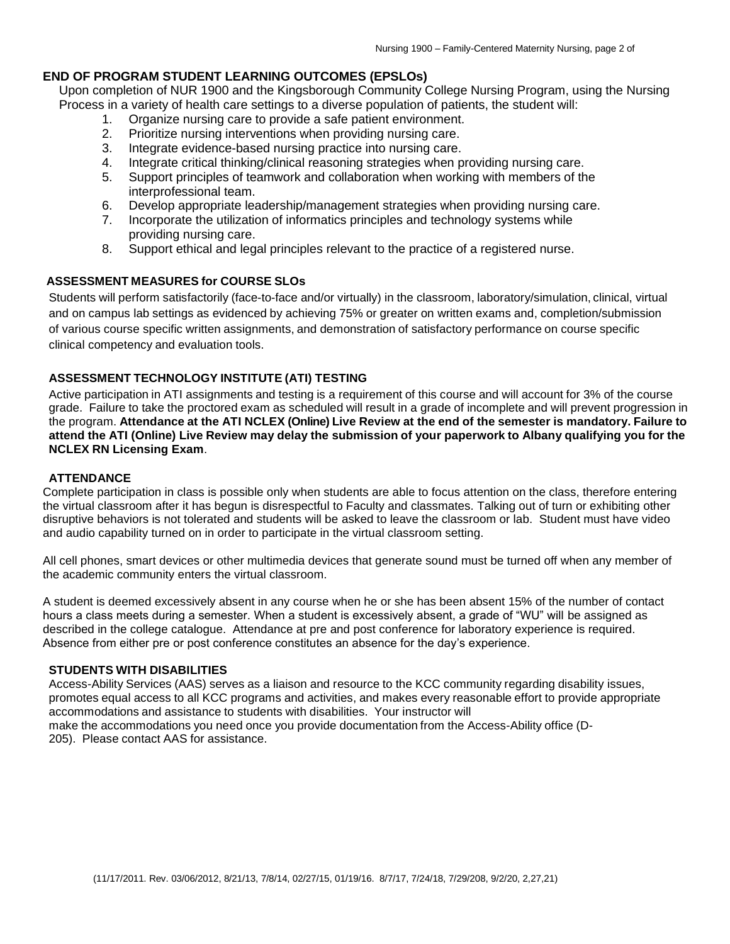# **END OF PROGRAM STUDENT LEARNING OUTCOMES (EPSLOs)**

Upon completion of NUR 1900 and the Kingsborough Community College Nursing Program, using the Nursing Process in a variety of health care settings to a diverse population of patients, the student will:

- 1. Organize nursing care to provide a safe patient environment.
- 2. Prioritize nursing interventions when providing nursing care.
- 3. Integrate evidence-based nursing practice into nursing care.
- 4. Integrate critical thinking/clinical reasoning strategies when providing nursing care.
- 5. Support principles of teamwork and collaboration when working with members of the interprofessional team.
- 6. Develop appropriate leadership/management strategies when providing nursing care.
- 7. Incorporate the utilization of informatics principles and technology systems while providing nursing care.
- 8. Support ethical and legal principles relevant to the practice of a registered nurse.

# **ASSESSMENT MEASURES for COURSE SLOs**

Students will perform satisfactorily (face-to-face and/or virtually) in the classroom, laboratory/simulation, clinical, virtual and on campus lab settings as evidenced by achieving 75% or greater on written exams and, completion/submission of various course specific written assignments, and demonstration of satisfactory performance on course specific clinical competency and evaluation tools.

## **ASSESSMENT TECHNOLOGY INSTITUTE (ATI) TESTING**

Active participation in ATI assignments and testing is a requirement of this course and will account for 3% of the course grade. Failure to take the proctored exam as scheduled will result in a grade of incomplete and will prevent progression in the program. Attendance at the ATI NCLEX (Online) Live Review at the end of the semester is mandatory. Failure to attend the ATI (Online) Live Review may delay the submission of your paperwork to Albany qualifying you for the **NCLEX RN Licensing Exam**.

### **ATTENDANCE**

Complete participation in class is possible only when students are able to focus attention on the class, therefore entering the virtual classroom after it has begun is disrespectful to Faculty and classmates. Talking out of turn or exhibiting other disruptive behaviors is not tolerated and students will be asked to leave the classroom or lab. Student must have video and audio capability turned on in order to participate in the virtual classroom setting.

All cell phones, smart devices or other multimedia devices that generate sound must be turned off when any member of the academic community enters the virtual classroom.

A student is deemed excessively absent in any course when he or she has been absent 15% of the number of contact hours a class meets during a semester. When a student is excessively absent, a grade of "WU" will be assigned as described in the college catalogue. Attendance at pre and post conference for laboratory experience is required. Absence from either pre or post conference constitutes an absence for the day's experience.

### **STUDENTS WITH DISABILITIES**

Access-Ability Services (AAS) serves as a liaison and resource to the KCC community regarding disability issues, promotes equal access to all KCC programs and activities, and makes every reasonable effort to provide appropriate accommodations and assistance to students with disabilities. Your instructor will make the accommodations you need once you provide documentation from the Access-Ability office (D-205). Please contact AAS for assistance.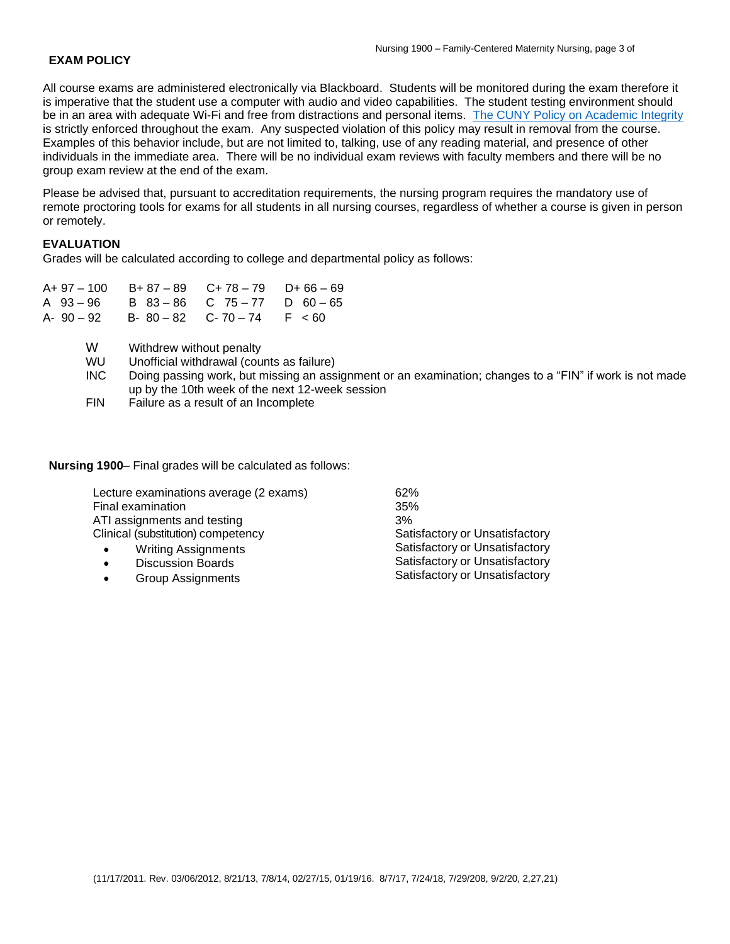### **EXAM POLICY**

All course exams are administered electronically via Blackboard. Students will be monitored during the exam therefore it is imperative that the student use a computer with audio and video capabilities. The student testing environment should be in an area with adequate Wi-Fi and free from distractions and personal items. [The CUNY Policy on Academic Integrity](https://www.kbcc.cuny.edu/faculty_staff/documents/Academic_Integrity_Policy.pdf#search=academic%20integrity%20policy%20) is strictly enforced throughout the exam. Any suspected violation of this policy may result in removal from the course. Examples of this behavior include, but are not limited to, talking, use of any reading material, and presence of other individuals in the immediate area. There will be no individual exam reviews with faculty members and there will be no group exam review at the end of the exam.

Please be advised that, pursuant to accreditation requirements, the nursing program requires the mandatory use of remote proctoring tools for exams for all students in all nursing courses, regardless of whether a course is given in person or remotely.

# **EVALUATION**

Grades will be calculated according to college and departmental policy as follows:

| $A+97-100$ B+87-89 C+78-79 D+66-69      |  |
|-----------------------------------------|--|
| A $93-96$ B $83-86$ C $75-77$ D $60-65$ |  |
| A-90-92 B-80-82 C-70-74 F <60           |  |

- W Withdrew without penalty
- WU Unofficial withdrawal (counts as failure)
- INC Doing passing work, but missing an assignment or an examination; changes to a "FIN" if work is not made up by the 10th week of the next 12-week session
- FIN Failure as a result of an Incomplete

**Nursing 1900**– Final grades will be calculated as follows:

| Lecture examinations average (2 exams)  | 62%                            |
|-----------------------------------------|--------------------------------|
| Final examination                       | 35%                            |
| ATI assignments and testing             | 3%                             |
| Clinical (substitution) competency      | Satisfactory or Unsatisfactory |
| <b>Writing Assignments</b><br>$\bullet$ | Satisfactory or Unsatisfactory |
| <b>Discussion Boards</b><br>$\bullet$   | Satisfactory or Unsatisfactory |
| Group Assianments                       | Satisfactory or Unsatisfactory |

• Group Assignments

(11/17/2011. Rev. 03/06/2012, 8/21/13, 7/8/14, 02/27/15, 01/19/16. 8/7/17, 7/24/18, 7/29/208, 9/2/20, 2,27,21)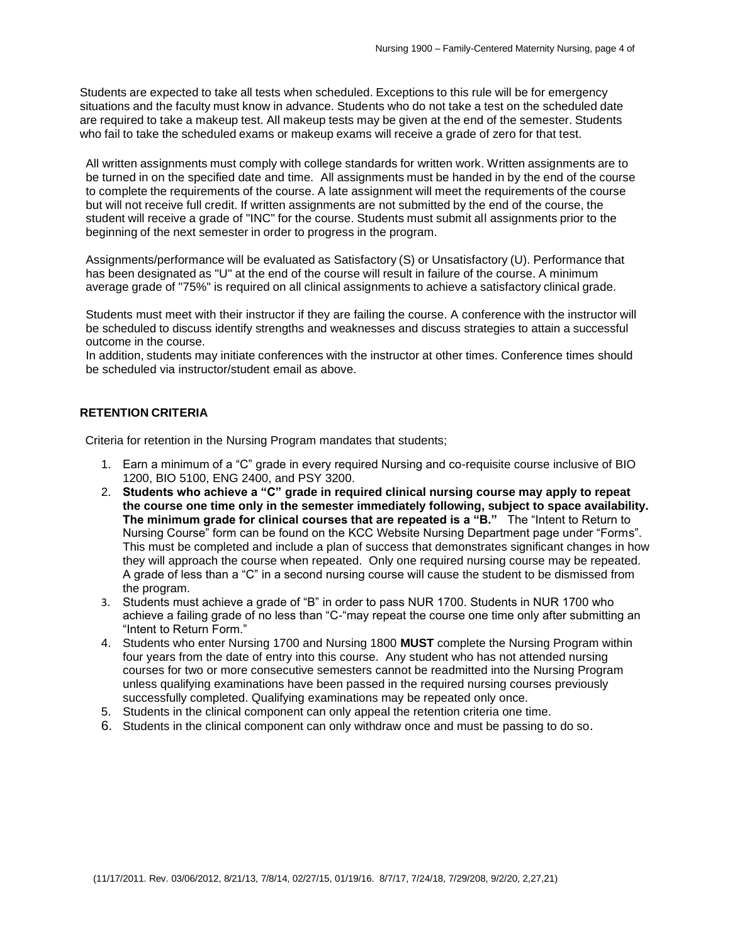Students are expected to take all tests when scheduled. Exceptions to this rule will be for emergency situations and the faculty must know in advance. Students who do not take a test on the scheduled date are required to take a makeup test. All makeup tests may be given at the end of the semester. Students who fail to take the scheduled exams or makeup exams will receive a grade of zero for that test.

All written assignments must comply with college standards for written work. Written assignments are to be turned in on the specified date and time. All assignments must be handed in by the end of the course to complete the requirements of the course. A late assignment will meet the requirements of the course but will not receive full credit. If written assignments are not submitted by the end of the course, the student will receive a grade of "INC" for the course. Students must submit all assignments prior to the beginning of the next semester in order to progress in the program.

Assignments/performance will be evaluated as Satisfactory (S) or Unsatisfactory (U). Performance that has been designated as "U" at the end of the course will result in failure of the course. A minimum average grade of "75%" is required on all clinical assignments to achieve a satisfactory clinical grade.

Students must meet with their instructor if they are failing the course. A conference with the instructor will be scheduled to discuss identify strengths and weaknesses and discuss strategies to attain a successful outcome in the course.

In addition, students may initiate conferences with the instructor at other times. Conference times should be scheduled via instructor/student email as above.

# **RETENTION CRITERIA**

Criteria for retention in the Nursing Program mandates that students;

- 1. Earn a minimum of a "C" grade in every required Nursing and co-requisite course inclusive of BIO 1200, BIO 5100, ENG 2400, and PSY 3200.
- 2. **Students who achieve a "C" grade in required clinical nursing course may apply to repeat the course one time only in the semester immediately following, subject to space availability. The minimum grade for clinical courses that are repeated is a "B."** The "Intent to Return to Nursing Course" form can be found on the KCC Website Nursing Department page under "Forms". This must be completed and include a plan of success that demonstrates significant changes in how they will approach the course when repeated. Only one required nursing course may be repeated. A grade of less than a "C" in a second nursing course will cause the student to be dismissed from the program.
- 3. Students must achieve a grade of "B" in order to pass NUR 1700. Students in NUR 1700 who achieve a failing grade of no less than "C-"may repeat the course one time only after submitting an "Intent to Return Form."
- 4. Students who enter Nursing 1700 and Nursing 1800 **MUST** complete the Nursing Program within four years from the date of entry into this course. Any student who has not attended nursing courses for two or more consecutive semesters cannot be readmitted into the Nursing Program unless qualifying examinations have been passed in the required nursing courses previously successfully completed. Qualifying examinations may be repeated only once.
- 5. Students in the clinical component can only appeal the retention criteria one time.
- 6. Students in the clinical component can only withdraw once and must be passing to do so.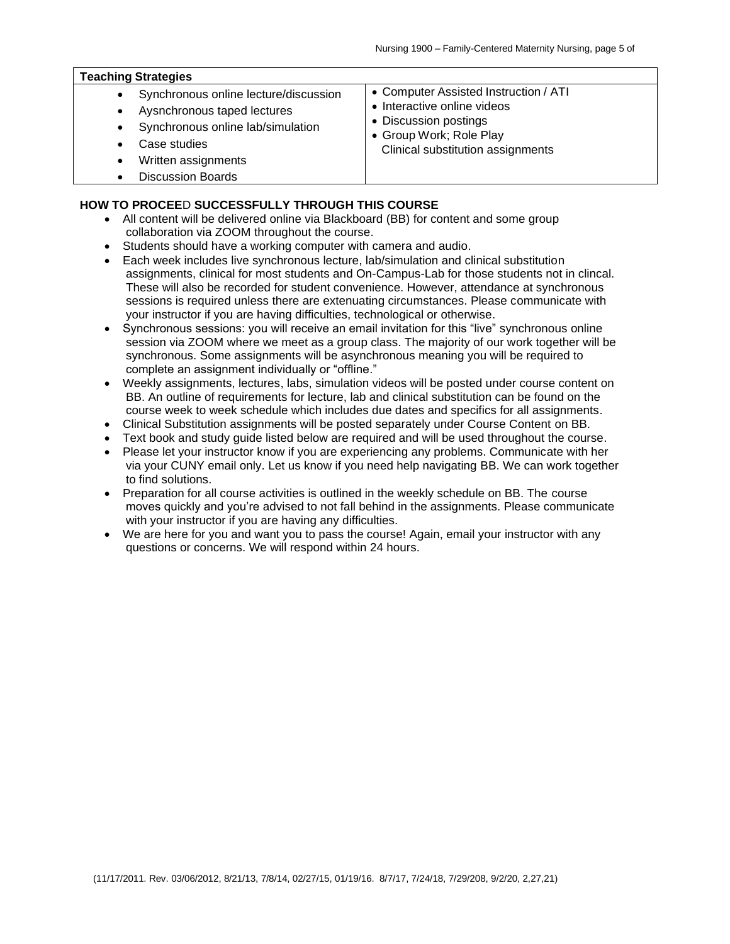| Synchronous online lecture/discussion<br>$\bullet$<br>Aysnchronous taped lectures<br>٠<br>Synchronous online lab/simulation<br>$\bullet$<br>Case studies<br>Written assignments<br>٠<br><b>Discussion Boards</b> | • Computer Assisted Instruction / ATI<br>• Interactive online videos<br>• Discussion postings<br>• Group Work; Role Play<br>Clinical substitution assignments |
|------------------------------------------------------------------------------------------------------------------------------------------------------------------------------------------------------------------|---------------------------------------------------------------------------------------------------------------------------------------------------------------|

### **HOW TO PROCEE**D **SUCCESSFULLY THROUGH THIS COURSE**

- All content will be delivered online via Blackboard (BB) for content and some group collaboration via ZOOM throughout the course.
- Students should have a working computer with camera and audio.
- Each week includes live synchronous lecture, lab/simulation and clinical substitution assignments, clinical for most students and On-Campus-Lab for those students not in clincal. These will also be recorded for student convenience. However, attendance at synchronous sessions is required unless there are extenuating circumstances. Please communicate with your instructor if you are having difficulties, technological or otherwise.
- Synchronous sessions: you will receive an email invitation for this "live" synchronous online session via ZOOM where we meet as a group class. The majority of our work together will be synchronous. Some assignments will be asynchronous meaning you will be required to complete an assignment individually or "offline."
- Weekly assignments, lectures, labs, simulation videos will be posted under course content on BB. An outline of requirements for lecture, lab and clinical substitution can be found on the course week to week schedule which includes due dates and specifics for all assignments.
- Clinical Substitution assignments will be posted separately under Course Content on BB.
- Text book and study guide listed below are required and will be used throughout the course.
- Please let your instructor know if you are experiencing any problems. Communicate with her via your CUNY email only. Let us know if you need help navigating BB. We can work together to find solutions.
- Preparation for all course activities is outlined in the weekly schedule on BB. The course moves quickly and you're advised to not fall behind in the assignments. Please communicate with your instructor if you are having any difficulties.
- We are here for you and want you to pass the course! Again, email your instructor with any questions or concerns. We will respond within 24 hours.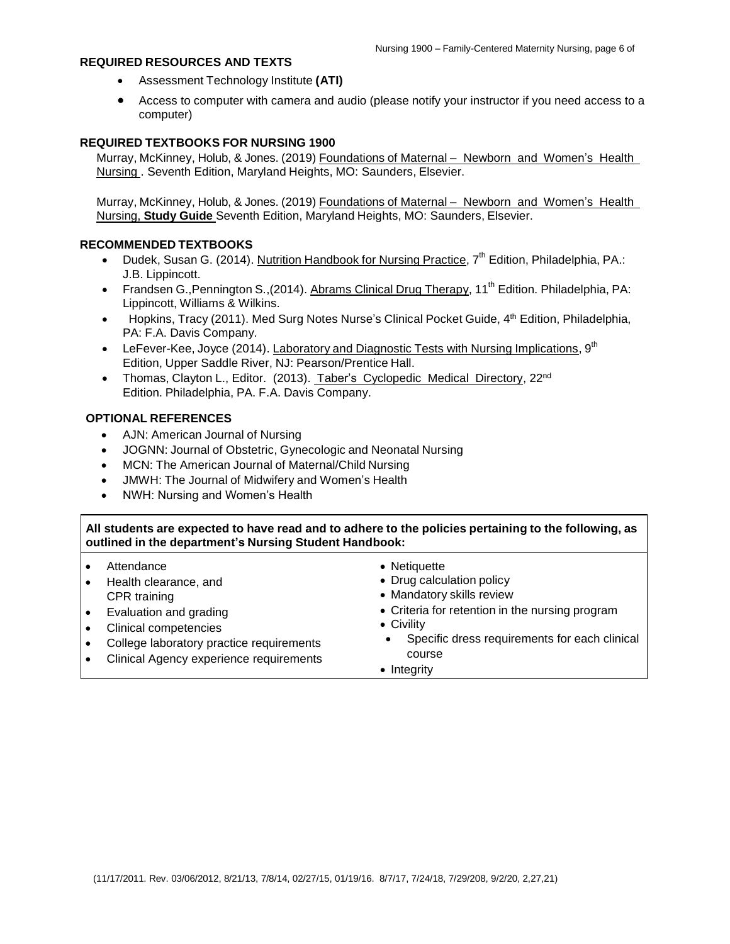### **REQUIRED RESOURCES AND TEXTS**

- Assessment Technology Institute **(ATI)**
- Access to computer with camera and audio (please notify your instructor if you need access to a computer)

### **REQUIRED TEXTBOOKS FOR NURSING 1900**

Murray, McKinney, Holub, & Jones. (2019) Foundations of Maternal – Newborn and Women's Health Nursing . Seventh Edition, Maryland Heights, MO: Saunders, Elsevier.

Murray, McKinney, Holub, & Jones. (2019) Foundations of Maternal – Newborn and Women's Health Nursing, **Study Guide** Seventh Edition, Maryland Heights, MO: Saunders, Elsevier.

### **RECOMMENDED TEXTBOOKS**

- Dudek, Susan G. (2014). Nutrition Handbook for Nursing Practice, 7<sup>th</sup> Edition, Philadelphia, PA.: J.B. Lippincott.
- Frandsen G., Pennington S., (2014). Abrams Clinical Drug Therapy, 11<sup>th</sup> Edition. Philadelphia, PA: Lippincott, Williams & Wilkins.
- Hopkins, Tracy (2011). Med Surg Notes Nurse's Clinical Pocket Guide, 4<sup>th</sup> Edition, Philadelphia, PA: F.A. Davis Company.
- LeFever-Kee, Joyce (2014). Laboratory and Diagnostic Tests with Nursing Implications, 9<sup>th</sup> Edition, Upper Saddle River, NJ: Pearson/Prentice Hall.
- Thomas, Clayton L., Editor. (2013). Taber's Cyclopedic Medical Directory, 22<sup>nd</sup> Edition. Philadelphia, PA. F.A. Davis Company.

#### **OPTIONAL REFERENCES**

- AJN: American Journal of Nursing
- JOGNN: Journal of Obstetric, Gynecologic and Neonatal Nursing
- MCN: The American Journal of Maternal/Child Nursing
- JMWH: The Journal of Midwifery and Women's Health
- NWH: Nursing and Women's Health

All students are expected to have read and to adhere to the policies pertaining to the following, as **outlined in the department's Nursing Student Handbook:**

| Attendance<br>Health clearance, and                                                                                                                    | • Netiquette<br>• Drug calculation policy                                                                                                                                         |
|--------------------------------------------------------------------------------------------------------------------------------------------------------|-----------------------------------------------------------------------------------------------------------------------------------------------------------------------------------|
| CPR training<br>Evaluation and grading<br>Clinical competencies<br>College laboratory practice requirements<br>Clinical Agency experience requirements | • Mandatory skills review<br>• Criteria for retention in the nursing program<br>• Civility<br>Specific dress requirements for each clinical<br>$\bullet$<br>course<br>• Integrity |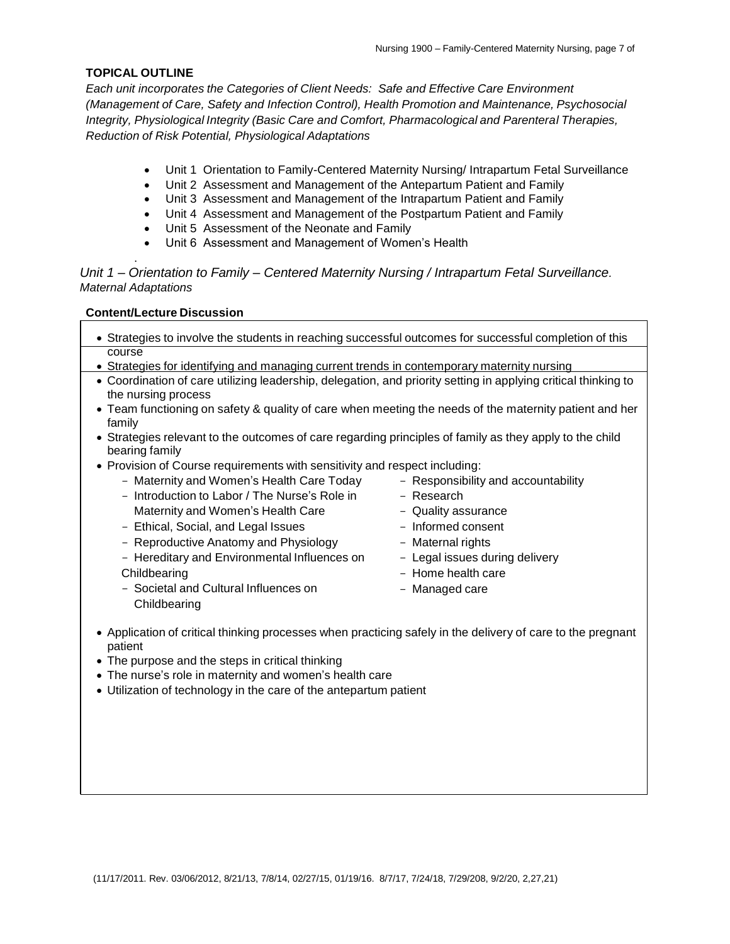### **TOPICAL OUTLINE**

*Each unit incorporates the Categories of Client Needs: Safe and Effective Care Environment (Management of Care, Safety and Infection Control), Health Promotion and Maintenance, Psychosocial Integrity, Physiological Integrity (Basic Care and Comfort, Pharmacological and Parenteral Therapies, Reduction of Risk Potential, Physiological Adaptations*

- Unit 1 Orientation to Family-Centered Maternity Nursing/ Intrapartum Fetal Surveillance
- Unit 2 Assessment and Management of the Antepartum Patient and Family
- Unit 3 Assessment and Management of the Intrapartum Patient and Family
- Unit 4 Assessment and Management of the Postpartum Patient and Family
- Unit 5 Assessment of the Neonate and Family
- Unit 6 Assessment and Management of Women's Health

# *Unit 1 – Orientation to Family – Centered Maternity Nursing / Intrapartum Fetal Surveillance. Maternal Adaptations*

## **Content/Lecture Discussion**

.

- Strategies to involve the students in reaching successful outcomes for successful completion of this course
- Strategies for identifying and managing current trends in contemporary maternity nursing
- Coordination of care utilizing leadership, delegation, and priority setting in applying critical thinking to the nursing process
- Team functioning on safety & quality of care when meeting the needs of the maternity patient and her family
- Strategies relevant to the outcomes of care regarding principles of family as they apply to the child bearing family
- Provision of Course requirements with sensitivity and respect including:
	- Maternity and Women's Health Care Today
	- Introduction to Labor / The Nurse's Role in Maternity and Women's Health Care
	- Ethical, Social, and Legal Issues
	- Reproductive Anatomy and Physiology
	- Hereditary and Environmental Influences on **Childbearing**
	- Societal and Cultural Influences on **Childbearing**
- Responsibility and accountability
- Research
- Quality assurance
- Informed consent
- Maternal rights
- Legal issues during delivery
- Home health care
- Managed care
- Application of critical thinking processes when practicing safely in the delivery of care to the pregnant patient
- The purpose and the steps in critical thinking
- The nurse's role in maternity and women's health care
- Utilization of technology in the care of the antepartum patient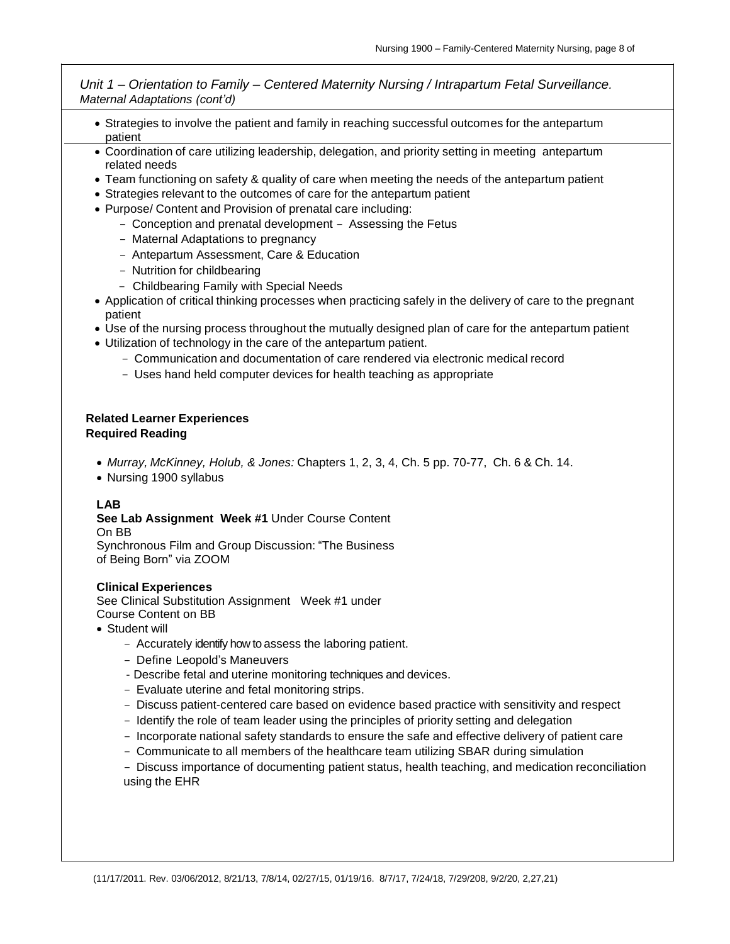*Unit 1 – Orientation to Family – Centered Maternity Nursing / Intrapartum Fetal Surveillance. Maternal Adaptations (cont'd)*

13

- Strategies to involve the patient and family in reaching successful outcomes for the antepartum patient
- Coordination of care utilizing leadership, delegation, and priority setting in meeting antepartum related needs
- Team functioning on safety & quality of care when meeting the needs of the antepartum patient
- Strategies relevant to the outcomes of care for the antepartum patient
- Purpose/ Content and Provision of prenatal care including:
	- Conception and prenatal development Assessing the Fetus
	- Maternal Adaptations to pregnancy
	- Antepartum Assessment, Care & Education
	- Nutrition for childbearing
	- Childbearing Family with Special Needs
- Application of critical thinking processes when practicing safely in the delivery of care to the pregnant patient
- Use of the nursing process throughout the mutually designed plan of care for the antepartum patient
- Utilization of technology in the care of the antepartum patient.
	- Communication and documentation of care rendered via electronic medical record
	- Uses hand held computer devices for health teaching as appropriate

## **Related Learner Experiences Required Reading**

- *Murray, McKinney, Holub, & Jones:* Chapters 1, 2, 3, 4, Ch. 5 pp. 70-77, Ch. 6 & Ch. 14.
- Nursing 1900 syllabus

# **LAB**

**See Lab Assignment Week #1** Under Course Content

On BB

Synchronous Film and Group Discussion: "The Business of Being Born" via ZOOM

### **Clinical Experiences**

See Clinical Substitution Assignment Week #1 under Course Content on BB

- Student will
	- Accurately identify how to assess the laboring patient.
	- Define Leopold's Maneuvers
	- Describe fetal and uterine monitoring techniques and devices.
	- Evaluate uterine and fetal monitoring strips.
	- Discuss patient-centered care based on evidence based practice with sensitivity and respect
	- Identify the role of team leader using the principles of priority setting and delegation
	- Incorporate national safety standards to ensure the safe and effective delivery of patient care
	- Communicate to all members of the healthcare team utilizing SBAR during simulation
	- Discuss importance of documenting patient status, health teaching, and medication reconciliation using the EHR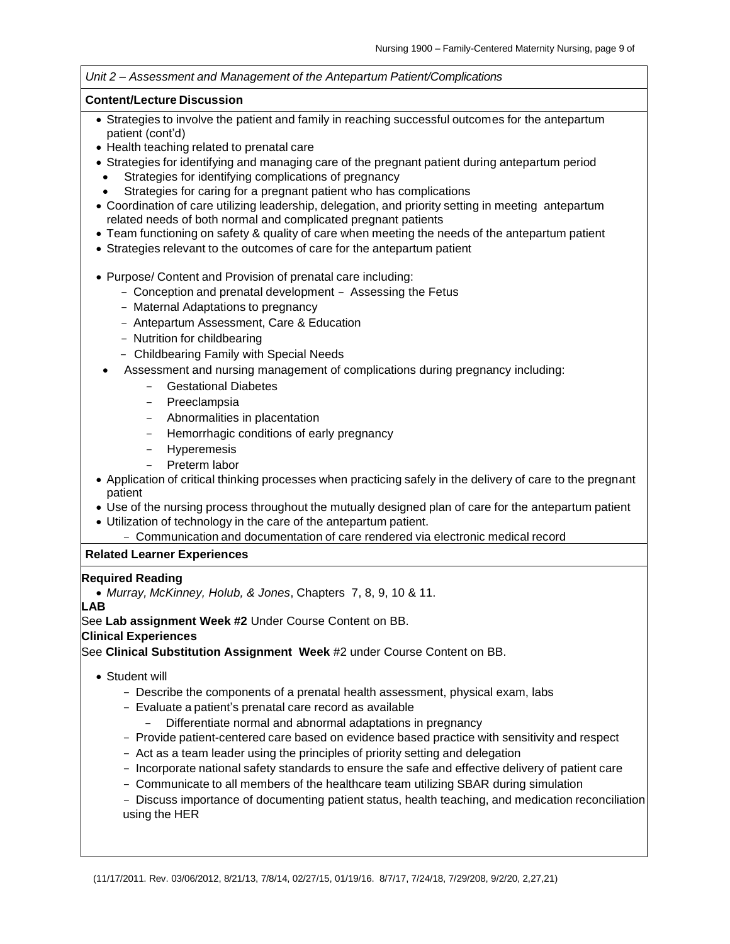#### *Unit 2 – Assessment and Management of the Antepartum Patient/Complications*

### **Content/Lecture Discussion**

- Strategies to involve the patient and family in reaching successful outcomes for the antepartum patient (cont'd)
- Health teaching related to prenatal care
- Strategies for identifying and managing care of the pregnant patient during antepartum period
- Strategies for identifying complications of pregnancy
- Strategies for caring for a pregnant patient who has complications
- Coordination of care utilizing leadership, delegation, and priority setting in meeting antepartum related needs of both normal and complicated pregnant patients
- Team functioning on safety & quality of care when meeting the needs of the antepartum patient
- Strategies relevant to the outcomes of care for the antepartum patient
- Purpose/ Content and Provision of prenatal care including:
	- Conception and prenatal development Assessing the Fetus
	- Maternal Adaptations to pregnancy
	- Antepartum Assessment, Care & Education
	- Nutrition for childbearing
	- Childbearing Family with Special Needs
	- Assessment and nursing management of complications during pregnancy including:
		- Gestational Diabetes
		- Preeclampsia
		- Abnormalities in placentation
		- Hemorrhagic conditions of early pregnancy
		- Hyperemesis
		- Preterm labor
- Application of critical thinking processes when practicing safely in the delivery of care to the pregnant patient
- Use of the nursing process throughout the mutually designed plan of care for the antepartum patient
- Utilization of technology in the care of the antepartum patient.
	- Communication and documentation of care rendered via electronic medical record

# **Related Learner Experiences**

### **Required Reading**

• *Murray, McKinney, Holub, & Jones*, Chapters 7, 8, 9, 10 & 11.

**LAB**

See **Lab assignment Week #2** Under Course Content on BB.

### **Clinical Experiences**

See **Clinical Substitution Assignment Week** #2 under Course Content on BB.

- Student will
	- Describe the components of a prenatal health assessment, physical exam, labs
	- Evaluate a patient's prenatal care record as available
		- Differentiate normal and abnormal adaptations in pregnancy
	- Provide patient-centered care based on evidence based practice with sensitivity and respect
	- Act as a team leader using the principles of priority setting and delegation
	- Incorporate national safety standards to ensure the safe and effective delivery of patient care
	- Communicate to all members of the healthcare team utilizing SBAR during simulation
	- Discuss importance of documenting patient status, health teaching, and medication reconciliation using the HER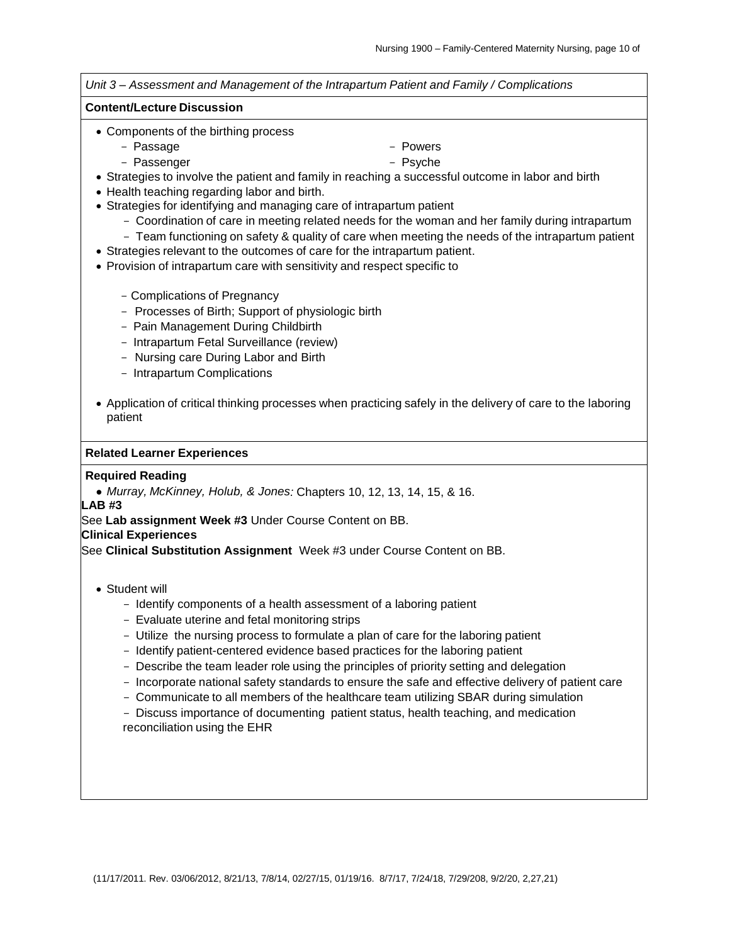*Unit 3 – Assessment and Management of the Intrapartum Patient and Family / Complications* **Content/Lecture Discussion** • Components of the birthing process - Passage - Powers - Passenger - Psyche • Strategies to involve the patient and family in reaching a successful outcome in labor and birth • Health teaching regarding labor and birth. • Strategies for identifying and managing care of intrapartum patient - Coordination of care in meeting related needs for the woman and her family during intrapartum - Team functioning on safety & quality of care when meeting the needs of the intrapartum patient • Strategies relevant to the outcomes of care for the intrapartum patient. • Provision of intrapartum care with sensitivity and respect specific to - Complications of Pregnancy - Processes of Birth; Support of physiologic birth - Pain Management During Childbirth - Intrapartum Fetal Surveillance (review) - Nursing care During Labor and Birth - Intrapartum Complications • Application of critical thinking processes when practicing safely in the delivery of care to the laboring patient **Related Learner Experiences Required Reading** • *Murray, McKinney, Holub, & Jones:* Chapters 10, 12, 13, 14, 15, & 16. **LAB #3** See **Lab assignment Week #3** Under Course Content on BB. **Clinical Experiences** See **Clinical Substitution Assignment** Week #3 under Course Content on BB. • Student will - Identify components of a health assessment of a laboring patient - Evaluate uterine and fetal monitoring strips - Utilize the nursing process to formulate a plan of care for the laboring patient - Identify patient-centered evidence based practices for the laboring patient - Describe the team leader role using the principles of priority setting and delegation - Incorporate national safety standards to ensure the safe and effective delivery of patient care - Communicate to all members of the healthcare team utilizing SBAR during simulation

- Discuss importance of documenting patient status, health teaching, and medication reconciliation using the EHR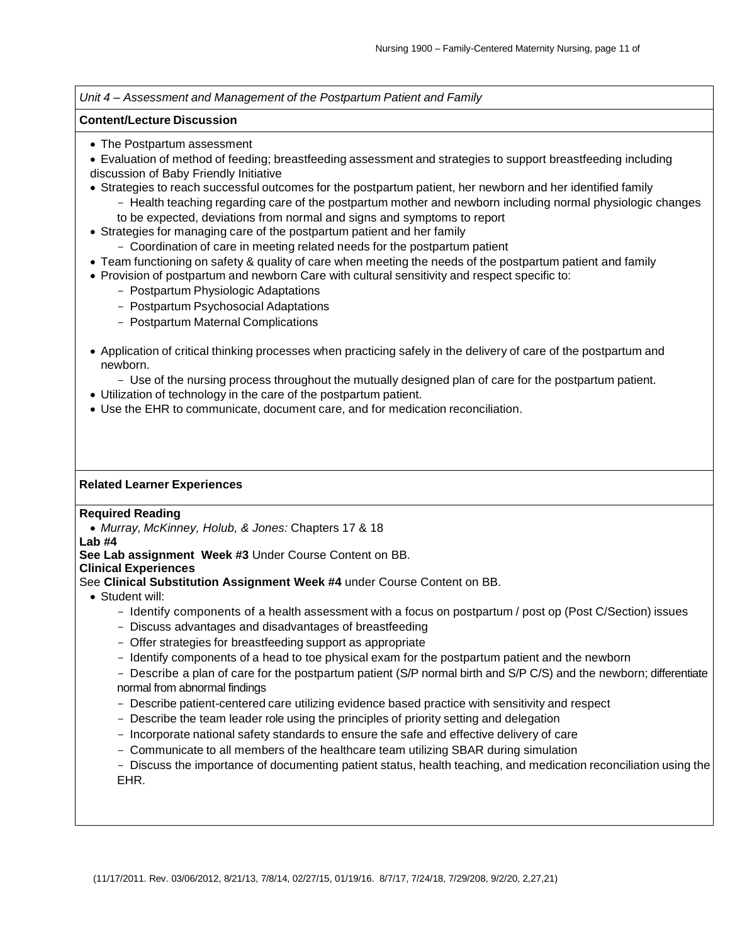*Unit 4 – Assessment and Management of the Postpartum Patient and Family*

#### **Content/Lecture Discussion**

- The Postpartum assessment
- Evaluation of method of feeding; breastfeeding assessment and strategies to support breastfeeding including discussion of Baby Friendly Initiative
- Strategies to reach successful outcomes for the postpartum patient, her newborn and her identified family
	- Health teaching regarding care of the postpartum mother and newborn including normal physiologic changes to be expected, deviations from normal and signs and symptoms to report
- Strategies for managing care of the postpartum patient and her family
	- Coordination of care in meeting related needs for the postpartum patient
- Team functioning on safety & quality of care when meeting the needs of the postpartum patient and family
- Provision of postpartum and newborn Care with cultural sensitivity and respect specific to:
	- Postpartum Physiologic Adaptations
	- Postpartum Psychosocial Adaptations
	- Postpartum Maternal Complications
- Application of critical thinking processes when practicing safely in the delivery of care of the postpartum and newborn.
	- Use of the nursing process throughout the mutually designed plan of care for the postpartum patient.
- Utilization of technology in the care of the postpartum patient.
- Use the EHR to communicate, document care, and for medication reconciliation.

### **Related Learner Experiences**

### **Required Reading**

• *Murray, McKinney, Holub, & Jones:* Chapters 17 & 18

#### **Lab #4**

**See Lab assignment Week #3** Under Course Content on BB.

### **Clinical Experiences**

See **Clinical Substitution Assignment Week #4** under Course Content on BB.

- Student will:
	- Identify components of a health assessment with a focus on postpartum / post op (Post C/Section) issues
	- Discuss advantages and disadvantages of breastfeeding
	- Offer strategies for breastfeeding support as appropriate
	- Identify components of a head to toe physical exam for the postpartum patient and the newborn

- Describe a plan of care for the postpartum patient (S/P normal birth and S/P C/S) and the newborn; differentiate normal from abnormal findings

- Describe patient-centered care utilizing evidence based practice with sensitivity and respect
- Describe the team leader role using the principles of priority setting and delegation
- Incorporate national safety standards to ensure the safe and effective delivery of care
- Communicate to all members of the healthcare team utilizing SBAR during simulation
- Discuss the importance of documenting patient status, health teaching, and medication reconciliation using the EHR.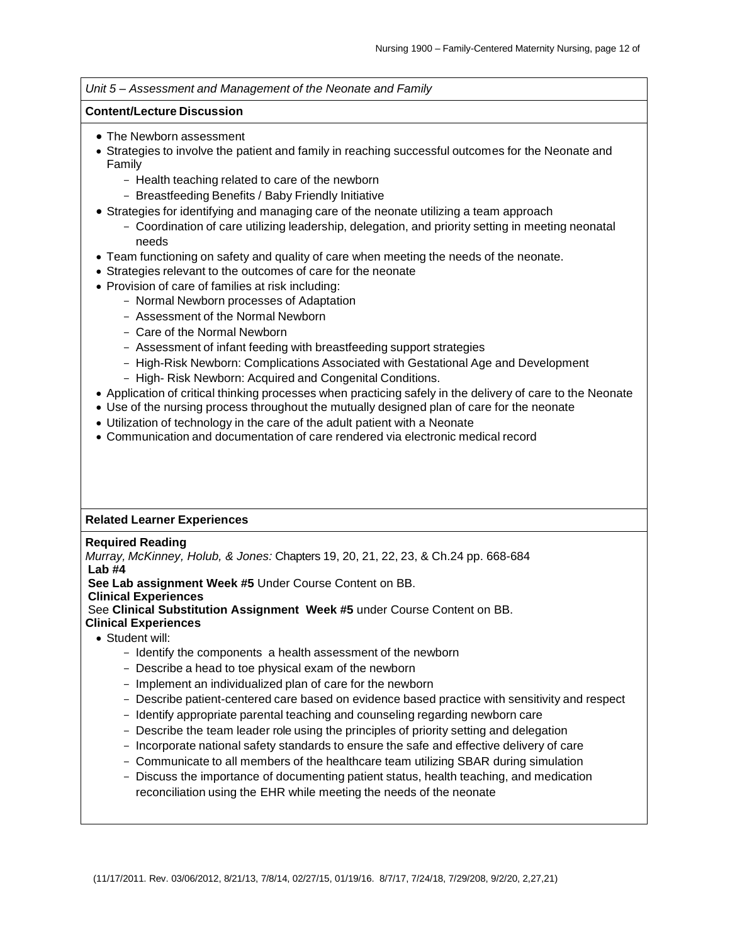#### *Unit 5 – Assessment and Management of the Neonate and Family*

#### **Content/Lecture Discussion**

- The Newborn assessment
- Strategies to involve the patient and family in reaching successful outcomes for the Neonate and Family
	- Health teaching related to care of the newborn
	- Breastfeeding Benefits / Baby Friendly Initiative
- Strategies for identifying and managing care of the neonate utilizing a team approach
	- Coordination of care utilizing leadership, delegation, and priority setting in meeting neonatal needs
- Team functioning on safety and quality of care when meeting the needs of the neonate.
- Strategies relevant to the outcomes of care for the neonate
- Provision of care of families at risk including:
	- Normal Newborn processes of Adaptation
	- Assessment of the Normal Newborn
	- Care of the Normal Newborn
	- Assessment of infant feeding with breastfeeding support strategies
	- High-Risk Newborn: Complications Associated with Gestational Age and Development
	- High- Risk Newborn: Acquired and Congenital Conditions.
- Application of critical thinking processes when practicing safely in the delivery of care to the Neonate
- Use of the nursing process throughout the mutually designed plan of care for the neonate
- Utilization of technology in the care of the adult patient with a Neonate
- Communication and documentation of care rendered via electronic medical record

### **Related Learner Experiences**

#### **Required Reading**

*Murray, McKinney, Holub, & Jones:* Chapters 19, 20, 21, 22, 23, & Ch.24 pp. 668-684 **Lab #4**

**See Lab assignment Week #5** Under Course Content on BB.

**Clinical Experiences**

See **Clinical Substitution Assignment Week #5** under Course Content on BB.

- **Clinical Experiences**
	- Student will:
		- Identify the components a health assessment of the newborn
		- Describe a head to toe physical exam of the newborn
		- Implement an individualized plan of care for the newborn
		- Describe patient-centered care based on evidence based practice with sensitivity and respect
		- Identify appropriate parental teaching and counseling regarding newborn care
		- Describe the team leader role using the principles of priority setting and delegation
		- Incorporate national safety standards to ensure the safe and effective delivery of care
		- Communicate to all members of the healthcare team utilizing SBAR during simulation
		- Discuss the importance of documenting patient status, health teaching, and medication reconciliation using the EHR while meeting the needs of the neonate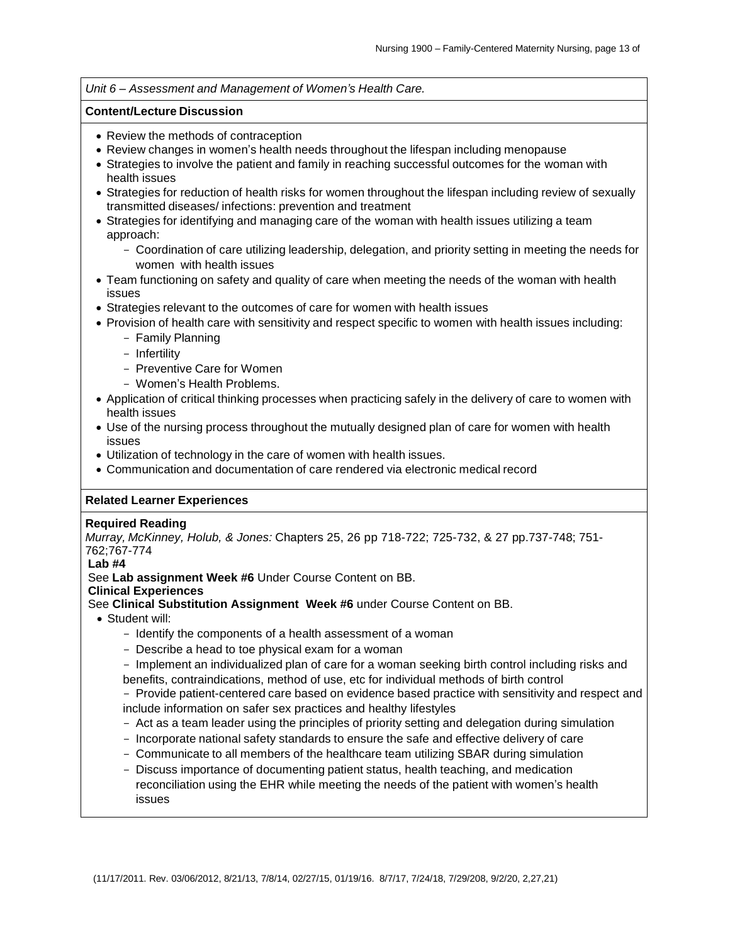#### *Unit 6 – Assessment and Management of Women's Health Care.*

#### **Content/Lecture Discussion**

- Review the methods of contraception
- Review changes in women's health needs throughout the lifespan including menopause
- Strategies to involve the patient and family in reaching successful outcomes for the woman with health issues
- Strategies for reduction of health risks for women throughout the lifespan including review of sexually transmitted diseases/ infections: prevention and treatment
- Strategies for identifying and managing care of the woman with health issues utilizing a team approach:
	- Coordination of care utilizing leadership, delegation, and priority setting in meeting the needs for women with health issues
- Team functioning on safety and quality of care when meeting the needs of the woman with health issues
- Strategies relevant to the outcomes of care for women with health issues
- Provision of health care with sensitivity and respect specific to women with health issues including:
	- Family Planning
	- Infertility
	- Preventive Care for Women
	- Women's Health Problems.
- Application of critical thinking processes when practicing safely in the delivery of care to women with health issues
- Use of the nursing process throughout the mutually designed plan of care for women with health issues
- Utilization of technology in the care of women with health issues.
- Communication and documentation of care rendered via electronic medical record

### **Related Learner Experiences**

#### **Required Reading**

*Murray, McKinney, Holub, & Jones:* Chapters 25, 26 pp 718-722; 725-732, & 27 pp.737-748; 751- 762;767-774

### **Lab #4**

See **Lab assignment Week #6** Under Course Content on BB.

**Clinical Experiences**

See **Clinical Substitution Assignment Week #6** under Course Content on BB.

- Student will:
	- Identify the components of a health assessment of a woman
	- Describe a head to toe physical exam for a woman
	- Implement an individualized plan of care for a woman seeking birth control including risks and benefits, contraindications, method of use, etc for individual methods of birth control

- Provide patient-centered care based on evidence based practice with sensitivity and respect and include information on safer sex practices and healthy lifestyles

- Act as a team leader using the principles of priority setting and delegation during simulation
- Incorporate national safety standards to ensure the safe and effective delivery of care
- Communicate to all members of the healthcare team utilizing SBAR during simulation
- Discuss importance of documenting patient status, health teaching, and medication reconciliation using the EHR while meeting the needs of the patient with women's health issues